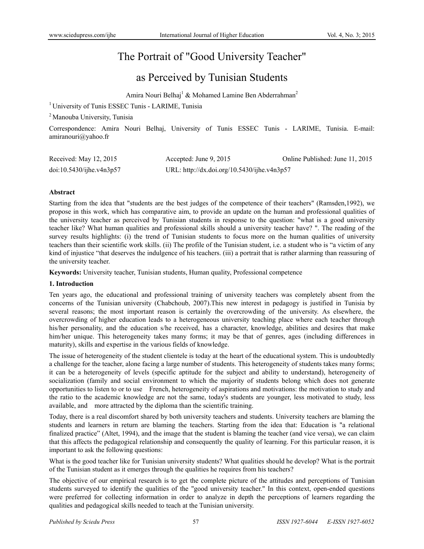# The Portrait of "Good University Teacher"

## as Perceived by Tunisian Students

Amira Nouri Belhaj<sup>1</sup> & Mohamed Lamine Ben Abderrahman<sup>2</sup>

<sup>1</sup> University of Tunis ESSEC Tunis - LARIME, Tunisia

2 Manouba University, Tunisia

Correspondence: Amira Nouri Belhaj, University of Tunis ESSEC Tunis - LARIME, Tunisia. E-mail: amiranouri@yahoo.fr

| Received: May 12, 2015   | Accepted: June 9, 2015                      | Online Published: June 11, 2015 |
|--------------------------|---------------------------------------------|---------------------------------|
| doi:10.5430/ijhe.v4n3p57 | URL: http://dx.doi.org/10.5430/ijhe.v4n3p57 |                                 |

## **Abstract**

Starting from the idea that "students are the best judges of the competence of their teachers" (Ramsden,1992), we propose in this work, which has comparative aim, to provide an update on the human and professional qualities of the university teacher as perceived by Tunisian students in response to the question: "what is a good university teacher like? What human qualities and professional skills should a university teacher have? ". The reading of the survey results highlights: (i) the trend of Tunisian students to focus more on the human qualities of university teachers than their scientific work skills. (ii) The profile of the Tunisian student, i.e. a student who is "a victim of any kind of injustice "that deserves the indulgence of his teachers. (iii) a portrait that is rather alarming than reassuring of the university teacher.

**Keywords:** University teacher, Tunisian students, Human quality, Professional competence

## **1. Introduction**

Ten years ago, the educational and professional training of university teachers was completely absent from the concerns of the Tunisian university (Chabchoub, 2007).This new interest in pedagogy is justified in Tunisia by several reasons; the most important reason is certainly the overcrowding of the university. As elsewhere, the overcrowding of higher education leads to a heterogeneous university teaching place where each teacher through his/her personality, and the education s/he received, has a character, knowledge, abilities and desires that make him/her unique. This heterogeneity takes many forms; it may be that of genres, ages (including differences in maturity), skills and expertise in the various fields of knowledge.

The issue of heterogeneity of the student clientele is today at the heart of the educational system. This is undoubtedly a challenge for the teacher, alone facing a large number of students. This heterogeneity of students takes many forms; it can be a heterogeneity of levels (specific aptitude for the subject and ability to understand), heterogeneity of socialization (family and social environment to which the majority of students belong which does not generate opportunities to listen to or to use French, heterogeneity of aspirations and motivations: the motivation to study and the ratio to the academic knowledge are not the same, today's students are younger, less motivated to study, less available, and more attracted by the diploma than the scientific training.

Today, there is a real discomfort shared by both university teachers and students. University teachers are blaming the students and learners in return are blaming the teachers. Starting from the idea that: Education is "a relational finalized practice" (Altet, 1994), and the image that the student is blaming the teacher (and vice versa), we can claim that this affects the pedagogical relationship and consequently the quality of learning. For this particular reason, it is important to ask the following questions:

What is the good teacher like for Tunisian university students? What qualities should he develop? What is the portrait of the Tunisian student as it emerges through the qualities he requires from his teachers?

The objective of our empirical research is to get the complete picture of the attitudes and perceptions of Tunisian students surveyed to identify the qualities of the "good university teacher." In this context, open-ended questions were preferred for collecting information in order to analyze in depth the perceptions of learners regarding the qualities and pedagogical skills needed to teach at the Tunisian university.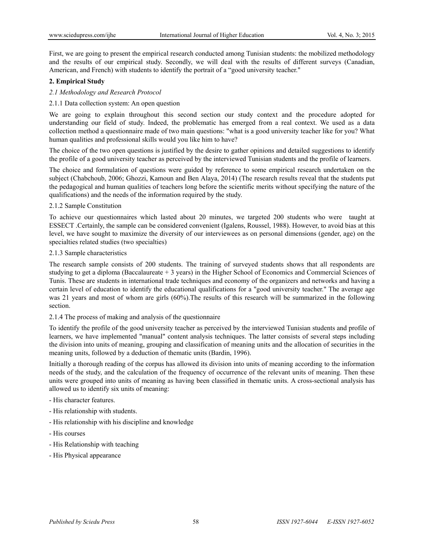First, we are going to present the empirical research conducted among Tunisian students: the mobilized methodology and the results of our empirical study. Secondly, we will deal with the results of different surveys (Canadian, American, and French) with students to identify the portrait of a "good university teacher."

## **2. Empirical Study**

## *2.1 Methodology and Research Protocol*

## 2.1.1 Data collection system: An open question

We are going to explain throughout this second section our study context and the procedure adopted for understanding our field of study. Indeed, the problematic has emerged from a real context. We used as a data collection method a questionnaire made of two main questions: "what is a good university teacher like for you? What human qualities and professional skills would you like him to have?

The choice of the two open questions is justified by the desire to gather opinions and detailed suggestions to identify the profile of a good university teacher as perceived by the interviewed Tunisian students and the profile of learners.

The choice and formulation of questions were guided by reference to some empirical research undertaken on the subject (Chabchoub, 2006; Ghozzi, Kamoun and Ben Alaya, 2014) (The research results reveal that the students put the pedagogical and human qualities of teachers long before the scientific merits without specifying the nature of the qualifications) and the needs of the information required by the study.

#### 2.1.2 Sample Constitution

To achieve our questionnaires which lasted about 20 minutes, we targeted 200 students who were taught at ESSECT .Certainly, the sample can be considered convenient (Igalens, Roussel, 1988). However, to avoid bias at this level, we have sought to maximize the diversity of our interviewees as on personal dimensions (gender, age) on the specialties related studies (two specialties)

#### 2.1.3 Sample characteristics

The research sample consists of 200 students. The training of surveyed students shows that all respondents are studying to get a diploma (Baccalaureate + 3 years) in the Higher School of Economics and Commercial Sciences of Tunis. These are students in international trade techniques and economy of the organizers and networks and having a certain level of education to identify the educational qualifications for a "good university teacher." The average age was 21 years and most of whom are girls (60%).The results of this research will be summarized in the following section.

## 2.1.4 The process of making and analysis of the questionnaire

To identify the profile of the good university teacher as perceived by the interviewed Tunisian students and profile of learners, we have implemented "manual" content analysis techniques. The latter consists of several steps including the division into units of meaning, grouping and classification of meaning units and the allocation of securities in the meaning units, followed by a deduction of thematic units (Bardin, 1996).

Initially a thorough reading of the corpus has allowed its division into units of meaning according to the information needs of the study, and the calculation of the frequency of occurrence of the relevant units of meaning. Then these units were grouped into units of meaning as having been classified in thematic units. A cross-sectional analysis has allowed us to identify six units of meaning:

- His character features.
- His relationship with students.
- His relationship with his discipline and knowledge
- His courses
- His Relationship with teaching
- His Physical appearance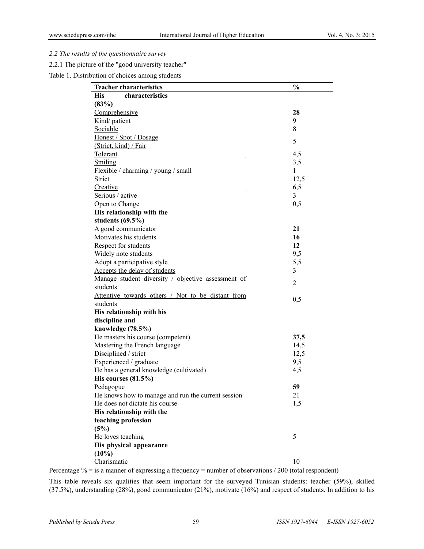## *2.2 The results of the questionnaire survey*

## 2.2.1 The picture of the "good university teacher"

Table 1. Distribution of choices among students

| <b>Teacher characteristics</b>                     | $\frac{0}{0}$  |
|----------------------------------------------------|----------------|
| <b>His</b><br>characteristics                      |                |
| (83%)                                              |                |
| Comprehensive                                      | 28             |
| Kind/patient                                       | 9              |
| Sociable                                           | 8              |
| Honest / Spot / Dosage                             | 5              |
| (Strict, kind) / Fair                              |                |
| <b>Tolerant</b>                                    | 4,5            |
| Smiling                                            | 3,5            |
| Flexible / charming / young / small                | 1              |
| Strict                                             | 12,5           |
| Creative                                           | 6,5            |
| Serious / active                                   | 3              |
| Open to Change                                     | 0,5            |
| His relationship with the                          |                |
| students $(69.5%)$                                 |                |
| A good communicator                                | 21             |
| Motivates his students                             | 16             |
| Respect for students                               | 12             |
| Widely note students                               | 9,5            |
| Adopt a participative style                        | 5,5            |
| Accepts the delay of students                      | 3              |
| Manage student diversity / objective assessment of | $\overline{2}$ |
| students                                           |                |
| Attentive towards others / Not to be distant from  |                |
| students                                           | 0,5            |
| His relationship with his                          |                |
| discipline and                                     |                |
| knowledge (78.5%)                                  |                |
| He masters his course (competent)                  | 37,5           |
| Mastering the French language                      | 14,5           |
| Disciplined / strict                               | 12,5           |
| Experienced / graduate                             | 9,5            |
| He has a general knowledge (cultivated)            | 4,5            |
| His courses $(81.5\%)$                             |                |
| Pedagogue                                          | 59             |
| He knows how to manage and run the current session | 21             |
| He does not dictate his course                     | 1,5            |
| His relationship with the                          |                |
| teaching profession                                |                |
| (5%)                                               |                |
| He loves teaching                                  | 5              |
| His physical appearance                            |                |
| $(10\%)$                                           |                |
| Charismatic                                        | 10             |

Percentage  $% =$  is a manner of expressing a frequency = number of observations  $/200$  (total respondent)

This table reveals six qualities that seem important for the surveyed Tunisian students: teacher (59%), skilled (37.5%), understanding (28%), good communicator (21%), motivate (16%) and respect of students. In addition to his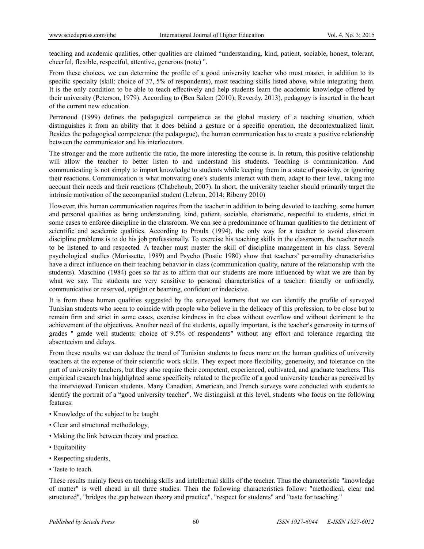teaching and academic qualities, other qualities are claimed "understanding, kind, patient, sociable, honest, tolerant, cheerful, flexible, respectful, attentive, generous (note) ".

From these choices, we can determine the profile of a good university teacher who must master, in addition to its specific specialty (skill: choice of 37, 5% of respondents), most teaching skills listed above, while integrating them. It is the only condition to be able to teach effectively and help students learn the academic knowledge offered by their university (Peterson, 1979). According to (Ben Salem (2010); Reverdy, 2013), pedagogy is inserted in the heart of the current new education.

Perrenoud (1999) defines the pedagogical competence as the global mastery of a teaching situation, which distinguishes it from an ability that it does behind a gesture or a specific operation, the decontextualized limit. Besides the pedagogical competence (the pedagogue), the human communication has to create a positive relationship between the communicator and his interlocutors.

The stronger and the more authentic the ratio, the more interesting the course is. In return, this positive relationship will allow the teacher to better listen to and understand his students. Teaching is communication. And communicating is not simply to impart knowledge to students while keeping them in a state of passivity, or ignoring their reactions. Communication is what motivating one's students interact with them, adapt to their level, taking into account their needs and their reactions (Chabchoub, 2007). In short, the university teacher should primarily target the intrinsic motivation of the accompanied student (Lebrun, 2014; Riberry 2010)

However, this human communication requires from the teacher in addition to being devoted to teaching, some human and personal qualities as being understanding, kind, patient, sociable, charismatic, respectful to students, strict in some cases to enforce discipline in the classroom. We can see a predominance of human qualities to the detriment of scientific and academic qualities. According to Proulx (1994), the only way for a teacher to avoid classroom discipline problems is to do his job professionally. To exercise his teaching skills in the classroom, the teacher needs to be listened to and respected. A teacher must master the skill of discipline management in his class. Several psychological studies (Morissette, 1989) and Psycho (Postic 1980) show that teachers' personality characteristics have a direct influence on their teaching behavior in class (communication quality, nature of the relationship with the students). Maschino (1984) goes so far as to affirm that our students are more influenced by what we are than by what we say. The students are very sensitive to personal characteristics of a teacher: friendly or unfriendly, communicative or reserved, uptight or beaming, confident or indecisive.

It is from these human qualities suggested by the surveyed learners that we can identify the profile of surveyed Tunisian students who seem to coincide with people who believe in the delicacy of this profession, to be close but to remain firm and strict in some cases, exercise kindness in the class without overflow and without detriment to the achievement of the objectives. Another need of the students, equally important, is the teacher's generosity in terms of grades " grade well students: choice of 9.5% of respondents" without any effort and tolerance regarding the absenteeism and delays.

From these results we can deduce the trend of Tunisian students to focus more on the human qualities of university teachers at the expense of their scientific work skills. They expect more flexibility, generosity, and tolerance on the part of university teachers, but they also require their competent, experienced, cultivated, and graduate teachers. This empirical research has highlighted some specificity related to the profile of a good university teacher as perceived by the interviewed Tunisian students. Many Canadian, American, and French surveys were conducted with students to identify the portrait of a "good university teacher". We distinguish at this level, students who focus on the following features:

- Knowledge of the subject to be taught
- Clear and structured methodology,
- Making the link between theory and practice,
- Equitability
- Respecting students,
- Taste to teach.

These results mainly focus on teaching skills and intellectual skills of the teacher. Thus the characteristic "knowledge of matter" is well ahead in all three studies. Then the following characteristics follow: "methodical, clear and structured", "bridges the gap between theory and practice", "respect for students" and "taste for teaching."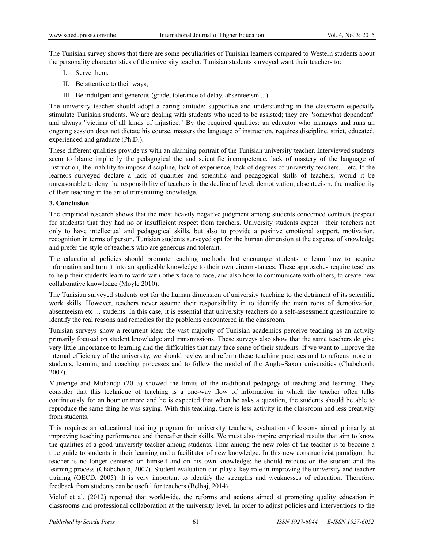The Tunisian survey shows that there are some peculiarities of Tunisian learners compared to Western students about the personality characteristics of the university teacher, Tunisian students surveyed want their teachers to:

- I. Serve them,
- II. Be attentive to their ways,
- III. Be indulgent and generous (grade, tolerance of delay, absenteeism ...)

The university teacher should adopt a caring attitude; supportive and understanding in the classroom especially stimulate Tunisian students. We are dealing with students who need to be assisted; they are "somewhat dependent" and always "victims of all kinds of injustice." By the required qualities: an educator who manages and runs an ongoing session does not dictate his course, masters the language of instruction, requires discipline, strict, educated, experienced and graduate (Ph.D.).

These different qualities provide us with an alarming portrait of the Tunisian university teacher. Interviewed students seem to blame implicitly the pedagogical the and scientific incompetence, lack of mastery of the language of instruction, the inability to impose discipline, lack of experience, lack of degrees of university teachers... .etc. If the learners surveyed declare a lack of qualities and scientific and pedagogical skills of teachers, would it be unreasonable to deny the responsibility of teachers in the decline of level, demotivation, absenteeism, the mediocrity of their teaching in the art of transmitting knowledge.

#### **3. Conclusion**

The empirical research shows that the most heavily negative judgment among students concerned contacts (respect for students) that they had no or insufficient respect from teachers. University students expect their teachers not only to have intellectual and pedagogical skills, but also to provide a positive emotional support, motivation, recognition in terms of person. Tunisian students surveyed opt for the human dimension at the expense of knowledge and prefer the style of teachers who are generous and tolerant.

The educational policies should promote teaching methods that encourage students to learn how to acquire information and turn it into an applicable knowledge to their own circumstances. These approaches require teachers to help their students learn to work with others face-to-face, and also how to communicate with others, to create new collaborative knowledge (Moyle 2010).

The Tunisian surveyed students opt for the human dimension of university teaching to the detriment of its scientific work skills. However, teachers never assume their responsibility in to identify the main roots of demotivation, absenteeism etc ... students. In this case, it is essential that university teachers do a self-assessment questionnaire to identify the real reasons and remedies for the problems encountered in the classroom.

Tunisian surveys show a recurrent idea: the vast majority of Tunisian academics perceive teaching as an activity primarily focused on student knowledge and transmissions. These surveys also show that the same teachers do give very little importance to learning and the difficulties that may face some of their students. If we want to improve the internal efficiency of the university, we should review and reform these teaching practices and to refocus more on students, learning and coaching processes and to follow the model of the Anglo-Saxon universities (Chabchoub, 2007).

Munienge and Muhandji (2013) showed the limits of the traditional pedagogy of teaching and learning. They consider that this technique of teaching is a one-way flow of information in which the teacher often talks continuously for an hour or more and he is expected that when he asks a question, the students should be able to reproduce the same thing he was saying. With this teaching, there is less activity in the classroom and less creativity from students.

This requires an educational training program for university teachers, evaluation of lessons aimed primarily at improving teaching performance and thereafter their skills. We must also inspire empirical results that aim to know the qualities of a good university teacher among students. Thus among the new roles of the teacher is to become a true guide to students in their learning and a facilitator of new knowledge. In this new constructivist paradigm, the teacher is no longer centered on himself and on his own knowledge; he should refocus on the student and the learning process (Chabchoub, 2007). Student evaluation can play a key role in improving the university and teacher training (OECD, 2005). It is very important to identify the strengths and weaknesses of education. Therefore, feedback from students can be useful for teachers (Belhaj, 2014)

Vieluf et al. (2012) reported that worldwide, the reforms and actions aimed at promoting quality education in classrooms and professional collaboration at the university level. In order to adjust policies and interventions to the